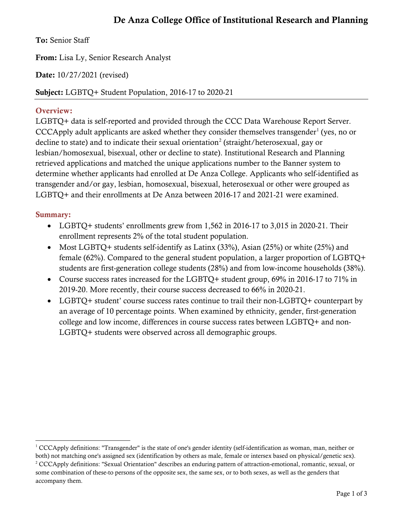# De Anza College Office of Institutional Research and Planning

To: Senior Staff

From: Lisa Ly, Senior Research Analyst

Date: 10/27/2021 (revised)

Subject: LGBTQ+ Student Population, 2016-17 to 2020-21

#### Overview:

LGBTQ+ data is self-reported and provided through the CCC Data Warehouse Report Server. CCCApply adult applicants are asked whether they consider themselves transgender<sup>[1](#page-0-0)</sup> (yes, no or decline to state) and to indicate their sexual orientation<sup>[2](#page-0-1)</sup> (straight/heterosexual, gay or lesbian/homosexual, bisexual, other or decline to state). Institutional Research and Planning retrieved applications and matched the unique applications number to the Banner system to determine whether applicants had enrolled at De Anza College. Applicants who self-identified as transgender and/or gay, lesbian, homosexual, bisexual, heterosexual or other were grouped as LGBTQ+ and their enrollments at De Anza between 2016-17 and 2021-21 were examined.

#### Summary:

 $\overline{a}$ 

- LGBTQ+ students' enrollments grew from 1,562 in 2016-17 to 3,015 in 2020-21. Their enrollment represents 2% of the total student population.
- Most LGBTQ+ students self-identify as Latinx (33%), Asian (25%) or white (25%) and female (62%). Compared to the general student population, a larger proportion of LGBTQ+ students are first-generation college students (28%) and from low-income households (38%).
- Course success rates increased for the LGBTO+ student group, 69% in 2016-17 to 71% in 2019-20. More recently, their course success decreased to 66% in 2020-21.
- LGBTO+ student' course success rates continue to trail their non-LGBTQ+ counterpart by an average of 10 percentage points. When examined by ethnicity, gender, first-generation college and low income, differences in course success rates between LGBTQ+ and non-LGBTQ+ students were observed across all demographic groups.

<span id="page-0-1"></span><span id="page-0-0"></span> $1$  CCCApply definitions: "Transgender" is the state of one's gender identity (self-identification as woman, man, neither or both) not matching one's assigned sex (identification by others as male, female or intersex based on physical/genetic sex). <sup>2</sup> CCCApply definitions: "Sexual Orientation" describes an enduring pattern of attraction-emotional, romantic, sexual, or some combination of these-to persons of the opposite sex, the same sex, or to both sexes, as well as the genders that accompany them.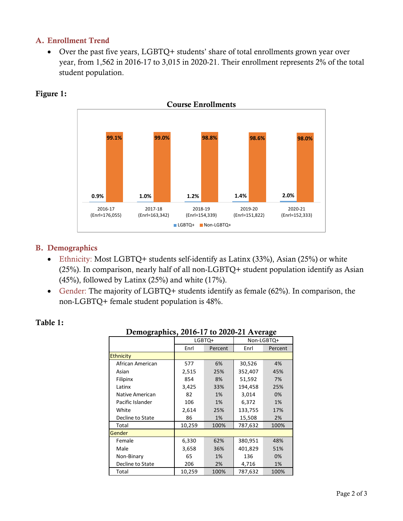#### A. Enrollment Trend

• Over the past five years, LGBTQ+ students' share of total enrollments grown year over year, from 1,562 in 2016-17 to 3,015 in 2020-21. Their enrollment represents 2% of the total student population.



#### Figure 1:

#### B. Demographics

- Ethnicity: Most LGBTQ+ students self-identify as Latinx (33%), Asian (25%) or white (25%). In comparison, nearly half of all non-LGBTQ+ student population identify as Asian (45%), followed by Latinx (25%) and white (17%).
- Gender: The majority of LGBTQ+ students identify as female (62%). In comparison, the non-LGBTQ+ female student population is 48%.

| Demographics, 2016-17 to 2020-21 Average |        |         |            |         |  |  |
|------------------------------------------|--------|---------|------------|---------|--|--|
|                                          | LGBTQ+ |         | Non-LGBTQ+ |         |  |  |
|                                          | Enrl   | Percent | Enrl       | Percent |  |  |
| <b>Ethnicity</b>                         |        |         |            |         |  |  |
| African American                         | 577    | 6%      | 30,526     | 4%      |  |  |
| Asian                                    | 2,515  | 25%     | 352,407    | 45%     |  |  |
| Filipinx                                 | 854    | 8%      | 51,592     | 7%      |  |  |
| Latinx                                   | 3,425  | 33%     | 194,458    | 25%     |  |  |
| Native American                          | 82     | 1%      | 3,014      | 0%      |  |  |
| Pacific Islander                         | 106    | 1%      | 6,372      | 1%      |  |  |
| White                                    | 2,614  | 25%     | 133,755    | 17%     |  |  |
| Decline to State                         | 86     | 1%      | 15,508     | 2%      |  |  |
| Total                                    | 10,259 | 100%    | 787,632    | 100%    |  |  |
| Gender                                   |        |         |            |         |  |  |
| Female                                   | 6,330  | 62%     | 380,951    | 48%     |  |  |
| Male                                     | 3,658  | 36%     | 401,829    | 51%     |  |  |
| Non-Binary                               | 65     | 1%      | 136        | 0%      |  |  |
| Decline to State                         | 206    | 2%      | 4,716      | 1%      |  |  |
| Total                                    | 10,259 | 100%    | 787,632    | 100%    |  |  |

#### Table 1: